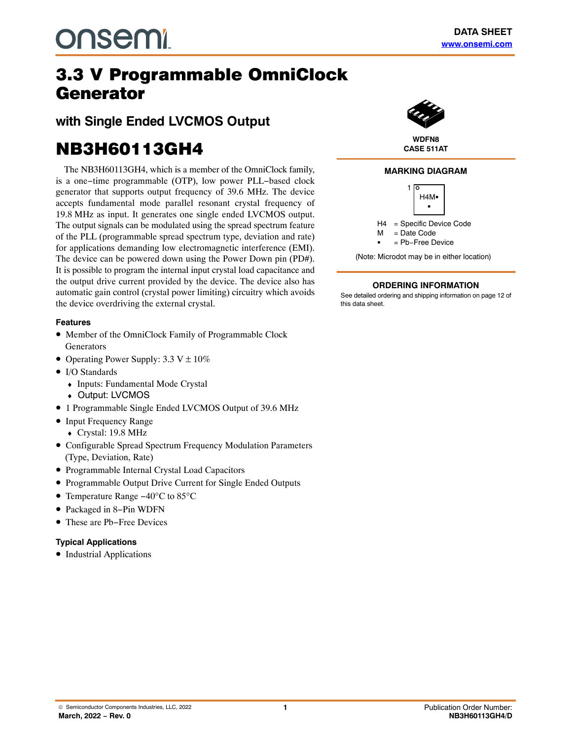## **Generator 3.3 V Programmable OmniClock** Generator

**with Single Ended LVCMOS Output**

# **NB3H60113GH4**

The NB3H60113GH4, which is a member of the OmniClock family, is a one−time programmable (OTP), low power PLL−based clock generator that supports output frequency of 39.6 MHz. The device accepts fundamental mode parallel resonant crystal frequency of 19.8 MHz as input. It generates one single ended LVCMOS output. The output signals can be modulated using the spread spectrum feature of the PLL (programmable spread spectrum type, deviation and rate) for applications demanding low electromagnetic interference (EMI). The device can be powered down using the Power Down pin (PD#). It is possible to program the internal input crystal load capacitance and the output drive current provided by the device. The device also has automatic gain control (crystal power limiting) circuitry which avoids the device overdriving the external crystal.

## **Features**

- Member of the OmniClock Family of Programmable Clock Generators
- Operating Power Supply:  $3.3 \text{ V} \pm 10\%$
- I/O Standards
	- ♦ Inputs: Fundamental Mode Crystal
	- ♦ Output: LVCMOS
- 1 Programmable Single Ended LVCMOS Output of 39.6 MHz
- Input Frequency Range
	- ♦ Crystal: 19.8 MHz
- Configurable Spread Spectrum Frequency Modulation Parameters (Type, Deviation, Rate)
- Programmable Internal Crystal Load Capacitors
- Programmable Output Drive Current for Single Ended Outputs
- Temperature Range −40°C to 85°C
- Packaged in 8−Pin WDFN
- These are Pb−Free Devices

## **Typical Applications**

• Industrial Applications



## **CASE 511AT**

### **MARKING DIAGRAM**



## **ORDERING INFORMATION**

See detailed ordering and shipping information on page [12](#page-11-0) of this data sheet.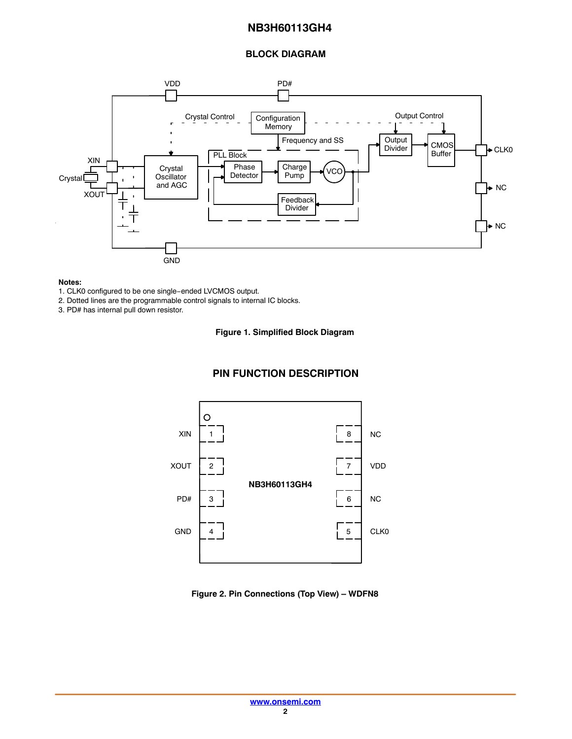## **BLOCK DIAGRAM**



#### **Notes:**

- 2. Dotted lines are the programmable control signals to internal IC blocks.
- 3. PD# has internal pull down resistor.

#### **Figure 1. Simplified Block Diagram**

## **PIN FUNCTION DESCRIPTION**



#### **Figure 2. Pin Connections (Top View) – WDFN8**

<sup>1.</sup> CLK0 configured to be one single−ended LVCMOS output.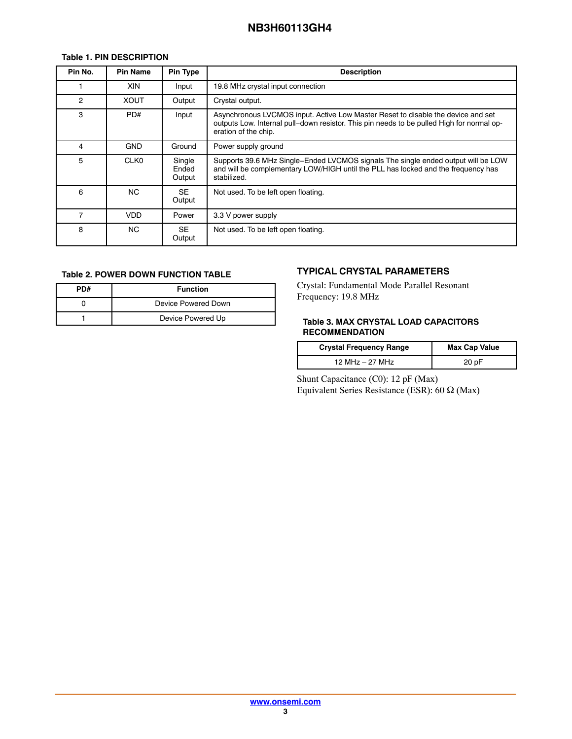## <span id="page-2-0"></span>**Table 1. PIN DESCRIPTION**

| Pin No.        | <b>Pin Name</b> | Pin Type                  | <b>Description</b>                                                                                                                                                                                    |
|----------------|-----------------|---------------------------|-------------------------------------------------------------------------------------------------------------------------------------------------------------------------------------------------------|
|                | XIN             | Input                     | 19.8 MHz crystal input connection                                                                                                                                                                     |
| $\mathfrak{p}$ | <b>XOUT</b>     | Output                    | Crystal output.                                                                                                                                                                                       |
| 3              | PD#             | Input                     | Asynchronous LVCMOS input. Active Low Master Reset to disable the device and set<br>outputs Low. Internal pull-down resistor. This pin needs to be pulled High for normal op-<br>eration of the chip. |
| 4              | <b>GND</b>      | Ground                    | Power supply ground                                                                                                                                                                                   |
| 5              | <b>CLK0</b>     | Single<br>Ended<br>Output | Supports 39.6 MHz Single-Ended LVCMOS signals The single ended output will be LOW<br>and will be complementary LOW/HIGH until the PLL has locked and the frequency has<br>stabilized.                 |
| 6              | NC.             | SE.<br>Output             | Not used. To be left open floating.                                                                                                                                                                   |
|                | VDD             | Power                     | 3.3 V power supply                                                                                                                                                                                    |
| 8              | NC.             | SE.<br>Output             | Not used. To be left open floating.                                                                                                                                                                   |

### **Table 2. POWER DOWN FUNCTION TABLE**

| PD# | <b>Function</b>     |
|-----|---------------------|
|     | Device Powered Down |
|     | Device Powered Up   |

## **TYPICAL CRYSTAL PARAMETERS**

Crystal: Fundamental Mode Parallel Resonant Frequency: 19.8 MHz

### **Table 3. MAX CRYSTAL LOAD CAPACITORS RECOMMENDATION**

| <b>Crystal Frequency Range</b> | <b>Max Cap Value</b> |
|--------------------------------|----------------------|
| 12 MHz - 27 MHz                | 20 pF                |

Shunt Capacitance (C0): 12 pF (Max) Equivalent Series Resistance (ESR): 60  $\Omega$  (Max)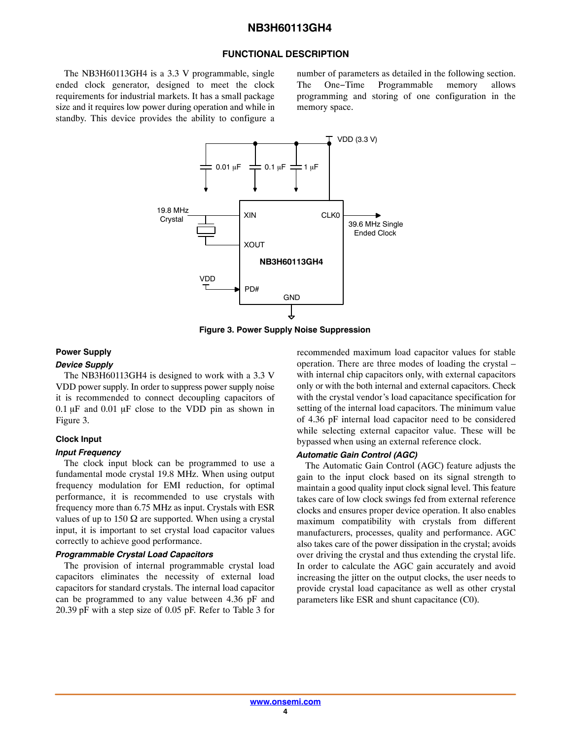#### **FUNCTIONAL DESCRIPTION**

The NB3H60113GH4 is a 3.3 V programmable, single ended clock generator, designed to meet the clock requirements for industrial markets. It has a small package size and it requires low power during operation and while in standby. This device provides the ability to configure a

number of parameters as detailed in the following section. The One−Time Programmable memory allows programming and storing of one configuration in the memory space.



**Figure 3. Power Supply Noise Suppression**

#### **Power Supply**

## *Device Supply*

The NB3H60113GH4 is designed to work with a 3.3 V VDD power supply. In order to suppress power supply noise it is recommended to connect decoupling capacitors of  $0.1 \mu$ F and  $0.01 \mu$ F close to the VDD pin as shown in Figure 3.

#### **Clock Input**

#### *Input Frequency*

The clock input block can be programmed to use a fundamental mode crystal 19.8 MHz. When using output frequency modulation for EMI reduction, for optimal performance, it is recommended to use crystals with frequency more than 6.75 MHz as input. Crystals with ESR values of up to 150  $\Omega$  are supported. When using a crystal input, it is important to set crystal load capacitor values correctly to achieve good performance.

#### *Programmable Crystal Load Capacitors*

The provision of internal programmable crystal load capacitors eliminates the necessity of external load capacitors for standard crystals. The internal load capacitor can be programmed to any value between 4.36 pF and 20.39 pF with a step size of 0.05 pF. Refer to Table [3](#page-2-0) for

recommended maximum load capacitor values for stable operation. There are three modes of loading the crystal – with internal chip capacitors only, with external capacitors only or with the both internal and external capacitors. Check with the crystal vendor's load capacitance specification for setting of the internal load capacitors. The minimum value of 4.36 pF internal load capacitor need to be considered while selecting external capacitor value. These will be bypassed when using an external reference clock.

#### *Automatic Gain Control (AGC)*

The Automatic Gain Control (AGC) feature adjusts the gain to the input clock based on its signal strength to maintain a good quality input clock signal level. This feature takes care of low clock swings fed from external reference clocks and ensures proper device operation. It also enables maximum compatibility with crystals from different manufacturers, processes, quality and performance. AGC also takes care of the power dissipation in the crystal; avoids over driving the crystal and thus extending the crystal life. In order to calculate the AGC gain accurately and avoid increasing the jitter on the output clocks, the user needs to provide crystal load capacitance as well as other crystal parameters like ESR and shunt capacitance (C0).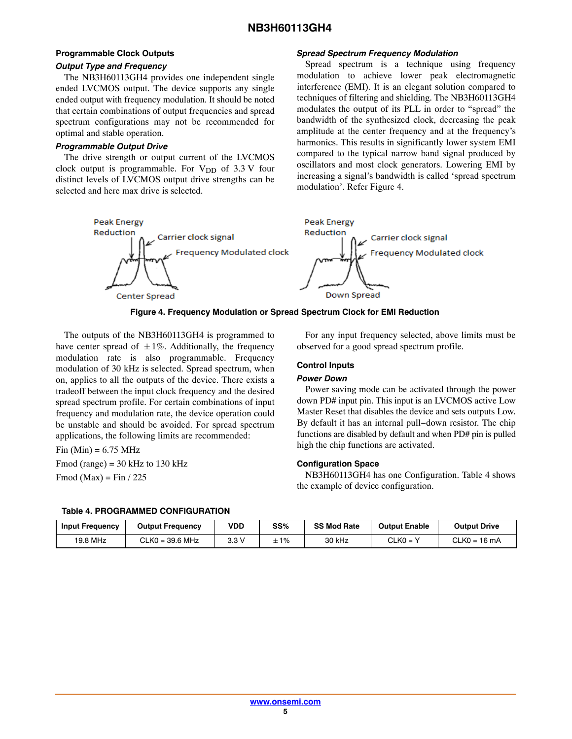## **Programmable Clock Outputs** *Output Type and Frequency*

The NB3H60113GH4 provides one independent single ended LVCMOS output. The device supports any single ended output with frequency modulation. It should be noted that certain combinations of output frequencies and spread spectrum configurations may not be recommended for optimal and stable operation.

### *Programmable Output Drive*

The drive strength or output current of the LVCMOS clock output is programmable. For  $V_{DD}$  of 3.3 V four distinct levels of LVCMOS output drive strengths can be selected and here max drive is selected.

#### *Spread Spectrum Frequency Modulation*

Spread spectrum is a technique using frequency modulation to achieve lower peak electromagnetic interference (EMI). It is an elegant solution compared to techniques of filtering and shielding. The NB3H60113GH4 modulates the output of its PLL in order to "spread" the bandwidth of the synthesized clock, decreasing the peak amplitude at the center frequency and at the frequency's harmonics. This results in significantly lower system EMI compared to the typical narrow band signal produced by oscillators and most clock generators. Lowering EMI by increasing a signal's bandwidth is called 'spread spectrum modulation'. Refer Figure 4.





The outputs of the NB3H60113GH4 is programmed to have center spread of  $\pm 1\%$ . Additionally, the frequency modulation rate is also programmable. Frequency modulation of 30 kHz is selected. Spread spectrum, when on, applies to all the outputs of the device. There exists a tradeoff between the input clock frequency and the desired spread spectrum profile. For certain combinations of input frequency and modulation rate, the device operation could be unstable and should be avoided. For spread spectrum applications, the following limits are recommended:

 $Fin$  (Min) = 6.75 MHz Fmod (range) =  $30$  kHz to  $130$  kHz Fmod (Max) = Fin  $/$  225

For any input frequency selected, above limits must be observed for a good spread spectrum profile.

### **Control Inputs**

### *Power Down*

Power saving mode can be activated through the power down PD# input pin. This input is an LVCMOS active Low Master Reset that disables the device and sets outputs Low. By default it has an internal pull−down resistor. The chip functions are disabled by default and when PD# pin is pulled high the chip functions are activated.

### **Configuration Space**

NB3H60113GH4 has one Configuration. Table 4 shows the example of device configuration.

| <b>Input Frequency</b> | <b>Output Frequency</b> | VDD  | SS% | <b>SS Mod Rate</b> | <b>Output Enable</b> | <b>Output Drive</b> |
|------------------------|-------------------------|------|-----|--------------------|----------------------|---------------------|
| 19.8 MHz               | $CLKO = 39.6 MHz$       | 3.3V | 1%۔ | 30 kHz             | $CLKO =$             | $CLKO = 16 mA$      |

#### **Table 4. PROGRAMMED CONFIGURATION**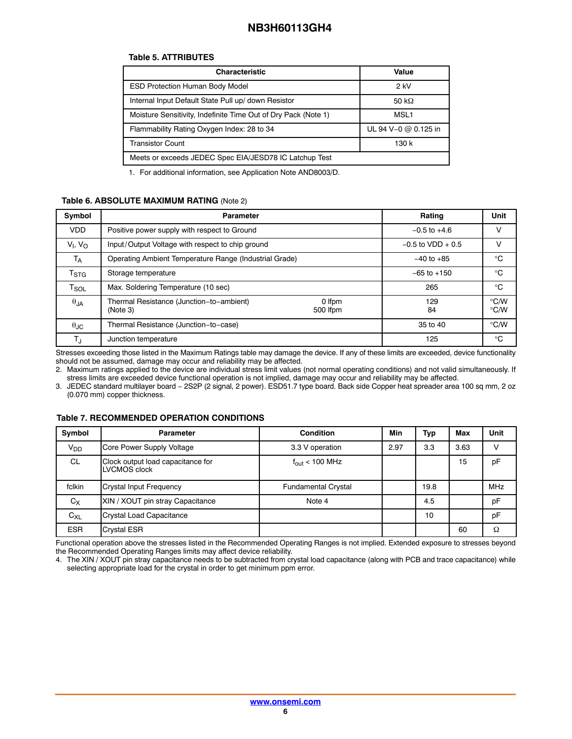#### **Table 5. ATTRIBUTES**

| <b>Characteristic</b>                                          | Value                |
|----------------------------------------------------------------|----------------------|
| <b>ESD Protection Human Body Model</b>                         | $2$ kV               |
| Internal Input Default State Pull up/ down Resistor            | 50 k $\Omega$        |
| Moisture Sensitivity, Indefinite Time Out of Dry Pack (Note 1) | MSL <sub>1</sub>     |
| Flammability Rating Oxygen Index: 28 to 34                     | UL 94 V-0 @ 0.125 in |
| <b>Transistor Count</b>                                        | 130 k                |
| Meets or exceeds JEDEC Spec EIA/JESD78 IC Latchup Test         |                      |
|                                                                |                      |

1. For additional information, see Application Note AND8003/D.

### **Table 6. ABSOLUTE MAXIMUM RATING** (Note 2)

| Symbol                      | <b>Parameter</b>                                                           | Rating              | Unit         |                                |
|-----------------------------|----------------------------------------------------------------------------|---------------------|--------------|--------------------------------|
| <b>VDD</b>                  | Positive power supply with respect to Ground                               | $-0.5$ to $+4.6$    | V            |                                |
| $V1$ , $VO$                 | Input/Output Voltage with respect to chip ground                           | $-0.5$ to VDD + 0.5 | v            |                                |
| $T_A$                       | Operating Ambient Temperature Range (Industrial Grade)                     | $-40$ to $+85$      | $^{\circ}C$  |                                |
| $\mathsf{T}_{\text{STG}}$   | Storage temperature                                                        | $-65$ to $+150$     | $^{\circ}$ C |                                |
| $\mathsf{T}_{\mathsf{SOL}}$ | Max. Soldering Temperature (10 sec)                                        |                     | 265          | $^{\circ}C$                    |
| $\theta$ JA                 | Thermal Resistance (Junction-to-ambient)<br>0 Ifpm<br>(Note 3)<br>500 Ifpm |                     | 129<br>84    | $\degree$ C/W<br>$\degree$ C/W |
| $\theta_{\text{JC}}$        | Thermal Resistance (Junction-to-case)                                      |                     | 35 to 40     | $\degree$ C/W                  |
| $\mathsf{T}_{\mathsf{J}}$   | Junction temperature                                                       |                     | 125          | $^{\circ}$ C                   |

Stresses exceeding those listed in the Maximum Ratings table may damage the device. If any of these limits are exceeded, device functionality should not be assumed, damage may occur and reliability may be affected.

2. Maximum ratings applied to the device are individual stress limit values (not normal operating conditions) and not valid simultaneously. If stress limits are exceeded device functional operation is not implied, damage may occur and reliability may be affected.

3. JEDEC standard multilayer board − 2S2P (2 signal, 2 power). ESD51.7 type board. Back side Copper heat spreader area 100 sq mm, 2 oz (0.070 mm) copper thickness.

## **Table 7. RECOMMENDED OPERATION CONDITIONS**

| Symbol                | <b>Parameter</b>                                  | <b>Condition</b>           | Min  | Typ  | Max  | Unit       |
|-----------------------|---------------------------------------------------|----------------------------|------|------|------|------------|
| <b>V<sub>DD</sub></b> | Core Power Supply Voltage                         | 3.3 V operation            | 2.97 | 3.3  | 3.63 |            |
| <b>CL</b>             | Clock output load capacitance for<br>LVCMOS clock | $f_{\text{out}}$ < 100 MHz |      |      | 15   | pF         |
| fclkin                | <b>Crystal Input Frequency</b>                    | <b>Fundamental Crystal</b> |      | 19.8 |      | <b>MHz</b> |
| $C_X$                 | XIN / XOUT pin stray Capacitance                  | Note 4                     |      | 4.5  |      | pF         |
| $C_{XL}$              | Crystal Load Capacitance                          |                            |      | 10   |      | pF         |
| <b>ESR</b>            | <b>Crystal ESR</b>                                |                            |      |      | 60   | Ω          |

Functional operation above the stresses listed in the Recommended Operating Ranges is not implied. Extended exposure to stresses beyond the Recommended Operating Ranges limits may affect device reliability.

4. The XIN / XOUT pin stray capacitance needs to be subtracted from crystal load capacitance (along with PCB and trace capacitance) while selecting appropriate load for the crystal in order to get minimum ppm error.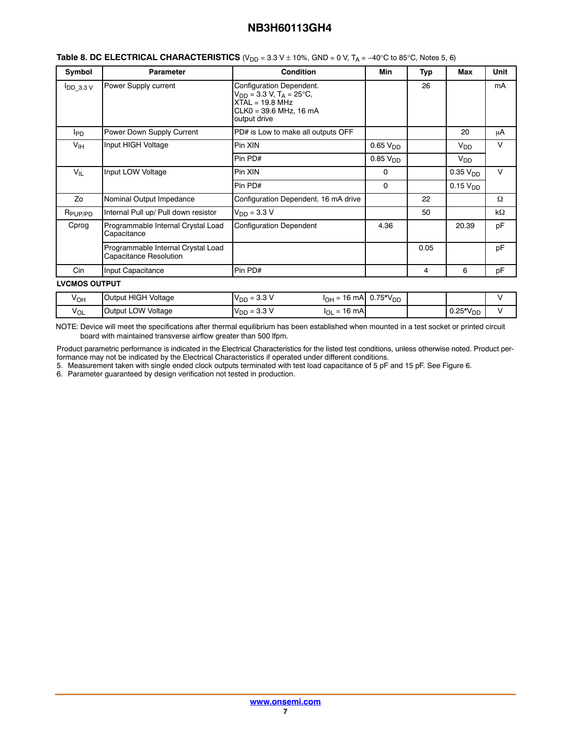| Symbol               | <b>Parameter</b>                                             | <b>Condition</b>                                                                                                                    | Min                  | Typ  | Max                  | Unit   |
|----------------------|--------------------------------------------------------------|-------------------------------------------------------------------------------------------------------------------------------------|----------------------|------|----------------------|--------|
| $I$ DD 3.3 V         | Power Supply current                                         | Configuration Dependent.<br>$V_{DD}$ = 3.3 V, T <sub>A</sub> = 25°C,<br>$XTAL = 19.8 MHz$<br>CLK0 = 39.6 MHz, 16 mA<br>output drive |                      | 26   |                      | mA     |
| <b>I</b> PD          | Power Down Supply Current                                    | PD# is Low to make all outputs OFF                                                                                                  |                      |      | 20                   | μA     |
| $V_{\text{IH}}$      | Input HIGH Voltage                                           | Pin XIN                                                                                                                             | 0.65 V <sub>DD</sub> |      | $V_{DD}$             | $\vee$ |
|                      |                                                              | Pin PD#                                                                                                                             | 0.85 V <sub>DD</sub> |      | $V_{DD}$             |        |
| $V_{IL}$             | Input LOW Voltage                                            | Pin XIN                                                                                                                             | 0                    |      | 0.35 V <sub>DD</sub> | $\vee$ |
|                      |                                                              | Pin PD#                                                                                                                             | 0                    |      | 0.15 V <sub>DD</sub> |        |
| Zo                   | Nominal Output Impedance                                     | Configuration Dependent. 16 mA drive                                                                                                |                      | 22   |                      | Ω      |
| R <sub>PUP/PD</sub>  | Internal Pull up/ Pull down resistor                         | $V_{DD} = 3.3 V$                                                                                                                    |                      | 50   |                      | kΩ     |
| Cprog                | Programmable Internal Crystal Load<br>Capacitance            | <b>Configuration Dependent</b>                                                                                                      | 4.36                 |      | 20.39                | pF     |
|                      | Programmable Internal Crystal Load<br>Capacitance Resolution |                                                                                                                                     |                      | 0.05 |                      | pF     |
| Cin                  | Input Capacitance                                            | Pin PD#                                                                                                                             |                      | 4    | 6                    | pF     |
| <b>LVCMOS OUTPUT</b> |                                                              |                                                                                                                                     |                      |      |                      |        |
| $V_{OH}$             | Output HIGH Voltage                                          | $V_{DD} = 3.3 V$<br>$I_{OH} = 16$ mA $0.75*V_{DD}$                                                                                  |                      |      |                      | V      |

| <b>Table 8. DC ELECTRICAL CHARACTERISTICS</b> ( $V_{DD}$ = 3.3 V $\pm$ 10%, GND = 0 V, T <sub>A</sub> = -40°C to 85°C, Notes 5, 6) |  |
|------------------------------------------------------------------------------------------------------------------------------------|--|
|------------------------------------------------------------------------------------------------------------------------------------|--|

NOTE: Device will meet the specifications after thermal equilibrium has been established when mounted in a test socket or printed circuit board with maintained transverse airflow greater than 500 lfpm.

 $V_{OL}$  Output LOW Voltage  $V_{DD} = 3.3 \text{ V}$   $I_{OL} = 16 \text{ mA}$   $0.25 \text{*V}_{DD}$ 

Product parametric performance is indicated in the Electrical Characteristics for the listed test conditions, unless otherwise noted. Product performance may not be indicated by the Electrical Characteristics if operated under different conditions.

5. Measurement taken with single ended clock outputs terminated with test load capacitance of 5 pF and 15 pF. See Figure [6](#page-8-0).

6. Parameter guaranteed by design verification not tested in production.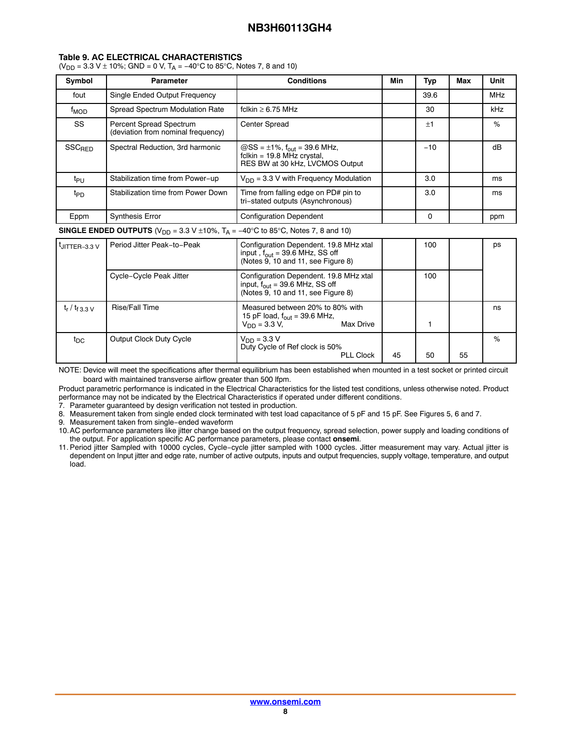#### **Table 9. AC ELECTRICAL CHARACTERISTICS**

( $V_{DD}$  = 3.3 V  $\pm$  10%; GND = 0 V, T<sub>A</sub> = -40°C to 85°C, Notes 7, 8 and 10)

| Symbol                 | <b>Parameter</b>                                                     | <b>Conditions</b>                                                                                                  | Min | Typ   | Max | Unit       |
|------------------------|----------------------------------------------------------------------|--------------------------------------------------------------------------------------------------------------------|-----|-------|-----|------------|
| fout                   | Single Ended Output Frequency                                        |                                                                                                                    |     | 39.6  |     | <b>MHz</b> |
| <b>f<sub>MOD</sub></b> | Spread Spectrum Modulation Rate                                      | fclkin $\geq 6.75$ MHz                                                                                             |     | 30    |     | kHz        |
| SS                     | <b>Percent Spread Spectrum</b><br>(deviation from nominal frequency) | <b>Center Spread</b>                                                                                               |     | ±1    |     | %          |
| SSC <sub>RED</sub>     | Spectral Reduction, 3rd harmonic                                     | $\omega$ SS = ±1%, f <sub>out</sub> = 39.6 MHz,<br>fclkin = $19.8$ MHz crystal,<br>RES BW at 30 kHz. LVCMOS Output |     | $-10$ |     | dB         |
| t <sub>PU</sub>        | Stabilization time from Power-up                                     | $V_{DD}$ = 3.3 V with Frequency Modulation                                                                         |     | 3.0   |     | ms         |
| t <sub>PD</sub>        | Stabilization time from Power Down                                   | Time from falling edge on PD# pin to<br>tri-stated outputs (Asynchronous)                                          |     | 3.0   |     | ms         |
| Eppm                   | <b>Synthesis Error</b>                                               | <b>Configuration Dependent</b>                                                                                     |     | 0     |     | ppm        |

**SINGLE ENDED OUTPUTS** ( $V_{DD}$  = 3.3 V ±10%,  $T_A$  =  $-40^{\circ}$ C to 85°C, Notes 7, 8 and 10)

| UITTER-3.3 V                          | Period Jitter Peak-to-Peak | Configuration Dependent. 19.8 MHz xtal<br>input, $f_{\text{out}}$ = 39.6 MHz, SS off<br>(Notes 9, 10 and 11, see Figure 8) |    | 100 |    | ps |
|---------------------------------------|----------------------------|----------------------------------------------------------------------------------------------------------------------------|----|-----|----|----|
|                                       | Cycle-Cycle Peak Jitter    | Configuration Dependent. 19.8 MHz xtal<br>input, $f_{\text{out}}$ = 39.6 MHz, SS off<br>(Notes 9, 10 and 11, see Figure 8) |    | 100 |    |    |
| t <sub>r</sub> / t <sub>f 3.3 V</sub> | <b>Rise/Fall Time</b>      | Measured between 20% to 80% with<br>15 pF load, $f_{\text{out}}$ = 39.6 MHz,<br>$V_{DD} = 3.3 V$ ,<br>Max Drive            |    |     |    | ns |
| t <sub>DC</sub>                       | Output Clock Duty Cycle    | $V_{DD} = 3.3 V$<br>Duty Cycle of Ref clock is 50%<br><b>PLL Clock</b>                                                     | 45 | 50  | 55 | %  |

NOTE: Device will meet the specifications after thermal equilibrium has been established when mounted in a test socket or printed circuit board with maintained transverse airflow greater than 500 lfpm.

Product parametric performance is indicated in the Electrical Characteristics for the listed test conditions, unless otherwise noted. Product performance may not be indicated by the Electrical Characteristics if operated under different conditions.

7. Parameter guaranteed by design verification not tested in production.

8. Measurement taken from single ended clock terminated with test load capacitance of 5 pF and 15 pF. See Figures [5,](#page-8-0) [6](#page-8-0) and [7.](#page-8-0)

9. Measurement taken from single−ended waveform

10.AC performance parameters like jitter change based on the output frequency, spread selection, power supply and loading conditions of the output. For application specific AC performance parameters, please contact **onsemi**.

11. Period jitter Sampled with 10000 cycles, Cycle−cycle jitter sampled with 1000 cycles. Jitter measurement may vary. Actual jitter is dependent on Input jitter and edge rate, number of active outputs, inputs and output frequencies, supply voltage, temperature, and output load.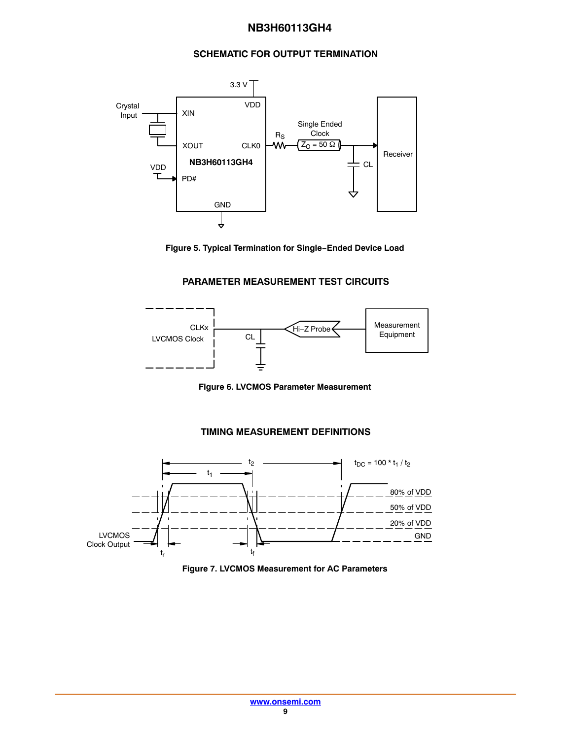## **SCHEMATIC FOR OUTPUT TERMINATION**

<span id="page-8-0"></span>



## **PARAMETER MEASUREMENT TEST CIRCUITS**



**Figure 6. LVCMOS Parameter Measurement**

## **TIMING MEASUREMENT DEFINITIONS**



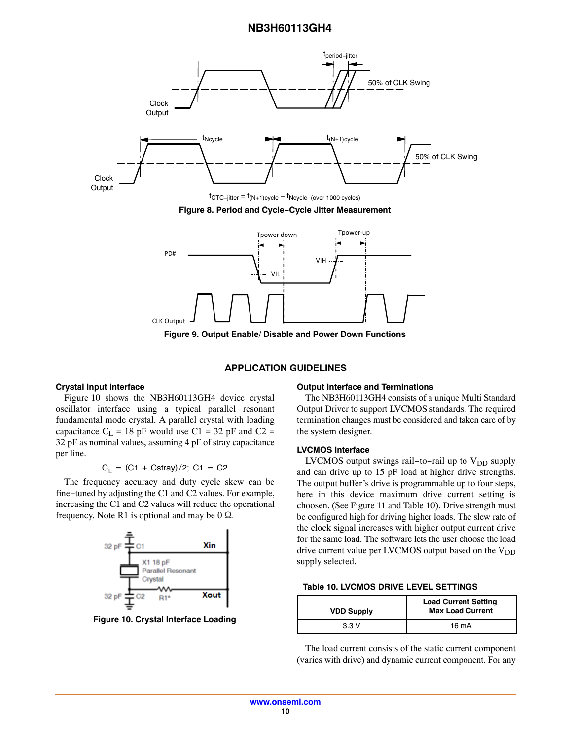<span id="page-9-0"></span>



**Figure 9. Output Enable/ Disable and Power Down Functions**

#### **APPLICATION GUIDELINES**

#### **Crystal Input Interface**

Figure 10 shows the NB3H60113GH4 device crystal oscillator interface using a typical parallel resonant fundamental mode crystal. A parallel crystal with loading capacitance  $C_L$  = 18 pF would use C1 = 32 pF and C2 = 32 pF as nominal values, assuming 4 pF of stray capacitance per line.

$$
C_L = (C1 + Cstray)/2
$$
; C1 = C2

The frequency accuracy and duty cycle skew can be fine−tuned by adjusting the C1 and C2 values. For example, increasing the C1 and C2 values will reduce the operational frequency. Note R1 is optional and may be  $0 \Omega$ .



**Figure 10. Crystal Interface Loading**

#### **Output Interface and Terminations**

The NB3H60113GH4 consists of a unique Multi Standard Output Driver to support LVCMOS standards. The required termination changes must be considered and taken care of by the system designer.

#### **LVCMOS Interface**

LVCMOS output swings rail-to-rail up to  $V_{DD}$  supply and can drive up to 15 pF load at higher drive strengths. The output buffer's drive is programmable up to four steps, here in this device maximum drive current setting is choosen. (See Figure [11](#page-10-0) and Table 10). Drive strength must be configured high for driving higher loads. The slew rate of the clock signal increases with higher output current drive for the same load. The software lets the user choose the load drive current value per LVCMOS output based on the  $V_{DD}$ supply selected.

| <b>Table 10. LVCMOS DRIVE LEVEL SETTINGS</b> |  |
|----------------------------------------------|--|
|----------------------------------------------|--|

| <b>VDD Supply</b> | <b>Load Current Setting</b><br><b>Max Load Current</b> |  |
|-------------------|--------------------------------------------------------|--|
| 33 V              | $16 \text{ mA}$                                        |  |

The load current consists of the static current component (varies with drive) and dynamic current component. For any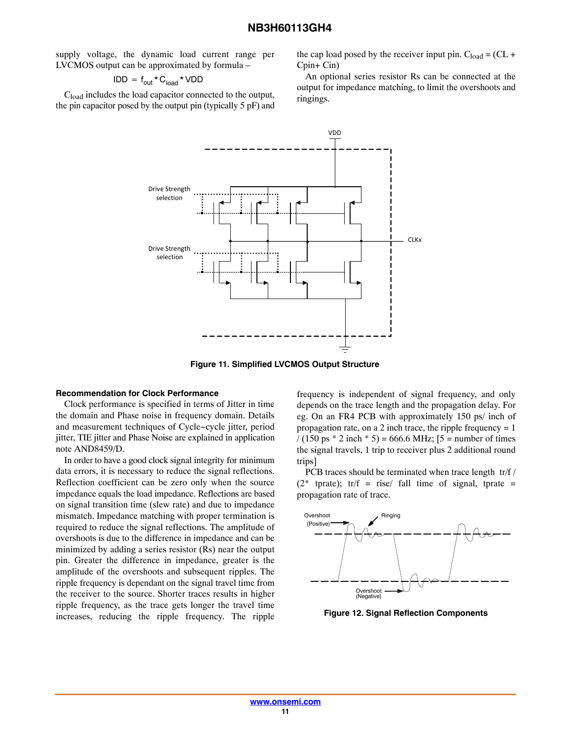<span id="page-10-0"></span>supply voltage, the dynamic load current range per LVCMOS output can be approximated by formula –

$$
\mathsf{IDD} = \mathsf{f}_{\mathsf{out}} \star \mathsf{C}_{\mathsf{load}} \star \mathsf{VDD}
$$

 $C<sub>load</sub>$  includes the load capacitor connected to the output, the pin capacitor posed by the output pin (typically 5 pF) and the cap load posed by the receiver input pin.  $C_{load} = (CL +$ Cpin+ Cin)

An optional series resistor Rs can be connected at the output for impedance matching, to limit the overshoots and ringings.



**Figure 11. Simplified LVCMOS Output Structure**

#### **Recommendation for Clock Performance**

Clock performance is specified in terms of Jitter in time the domain and Phase noise in frequency domain. Details and measurement techniques of Cycle−cycle jitter, period jitter, TIE jitter and Phase Noise are explained in application note AND8459/D.

In order to have a good clock signal integrity for minimum data errors, it is necessary to reduce the signal reflections. Reflection coefficient can be zero only when the source impedance equals the load impedance. Reflections are based on signal transition time (slew rate) and due to impedance mismatch. Impedance matching with proper termination is required to reduce the signal reflections. The amplitude of overshoots is due to the difference in impedance and can be minimized by adding a series resistor (Rs) near the output pin. Greater the difference in impedance, greater is the amplitude of the overshoots and subsequent ripples. The ripple frequency is dependant on the signal travel time from the receiver to the source. Shorter traces results in higher ripple frequency, as the trace gets longer the travel time increases, reducing the ripple frequency. The ripple

frequency is independent of signal frequency, and only depends on the trace length and the propagation delay. For eg. On an FR4 PCB with approximately 150 ps/ inch of propagation rate, on a 2 inch trace, the ripple frequency  $= 1$  $/(150 \text{ ps} * 2 \text{ inch} * 5) = 666.6 \text{ MHz};$  [5 = number of times] the signal travels, 1 trip to receiver plus 2 additional round trips]

PCB traces should be terminated when trace length tr/f /  $(2^*$  tprate); tr/f = rise/ fall time of signal, tprate = propagation rate of trace.



**Figure 12. Signal Reflection Components**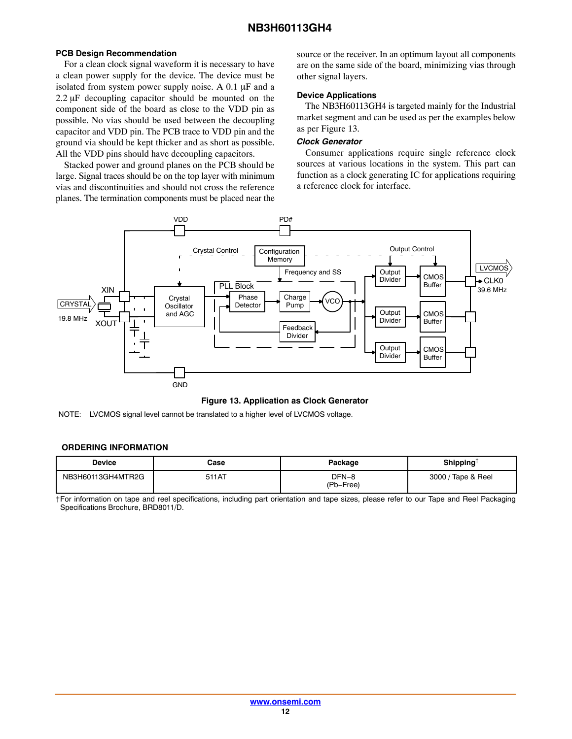#### <span id="page-11-0"></span>**PCB Design Recommendation**

For a clean clock signal waveform it is necessary to have a clean power supply for the device. The device must be isolated from system power supply noise. A  $0.1 \mu$ F and a  $2.2 \mu$ F decoupling capacitor should be mounted on the component side of the board as close to the VDD pin as possible. No vias should be used between the decoupling capacitor and VDD pin. The PCB trace to VDD pin and the ground via should be kept thicker and as short as possible. All the VDD pins should have decoupling capacitors.

Stacked power and ground planes on the PCB should be large. Signal traces should be on the top layer with minimum vias and discontinuities and should not cross the reference planes. The termination components must be placed near the source or the receiver. In an optimum layout all components are on the same side of the board, minimizing vias through other signal layers.

#### **Device Applications**

The NB3H60113GH4 is targeted mainly for the Industrial market segment and can be used as per the examples below as per Figure 13.

#### *Clock Generator*

Consumer applications require single reference clock sources at various locations in the system. This part can function as a clock generating IC for applications requiring a reference clock for interface.



### **Figure 13. Application as Clock Generator**

NOTE: LVCMOS signal level cannot be translated to a higher level of LVCMOS voltage.

#### **ORDERING INFORMATION**

| <b>Device</b>     | Case  | Package            | Shipping <sup>+</sup> |
|-------------------|-------|--------------------|-----------------------|
| NB3H60113GH4MTR2G | 511AT | DFN-8<br>(Pb-Free) | 3000 / Tape & Reel    |

†For information on tape and reel specifications, including part orientation and tape sizes, please refer to our Tape and Reel Packaging Specifications Brochure, BRD8011/D.